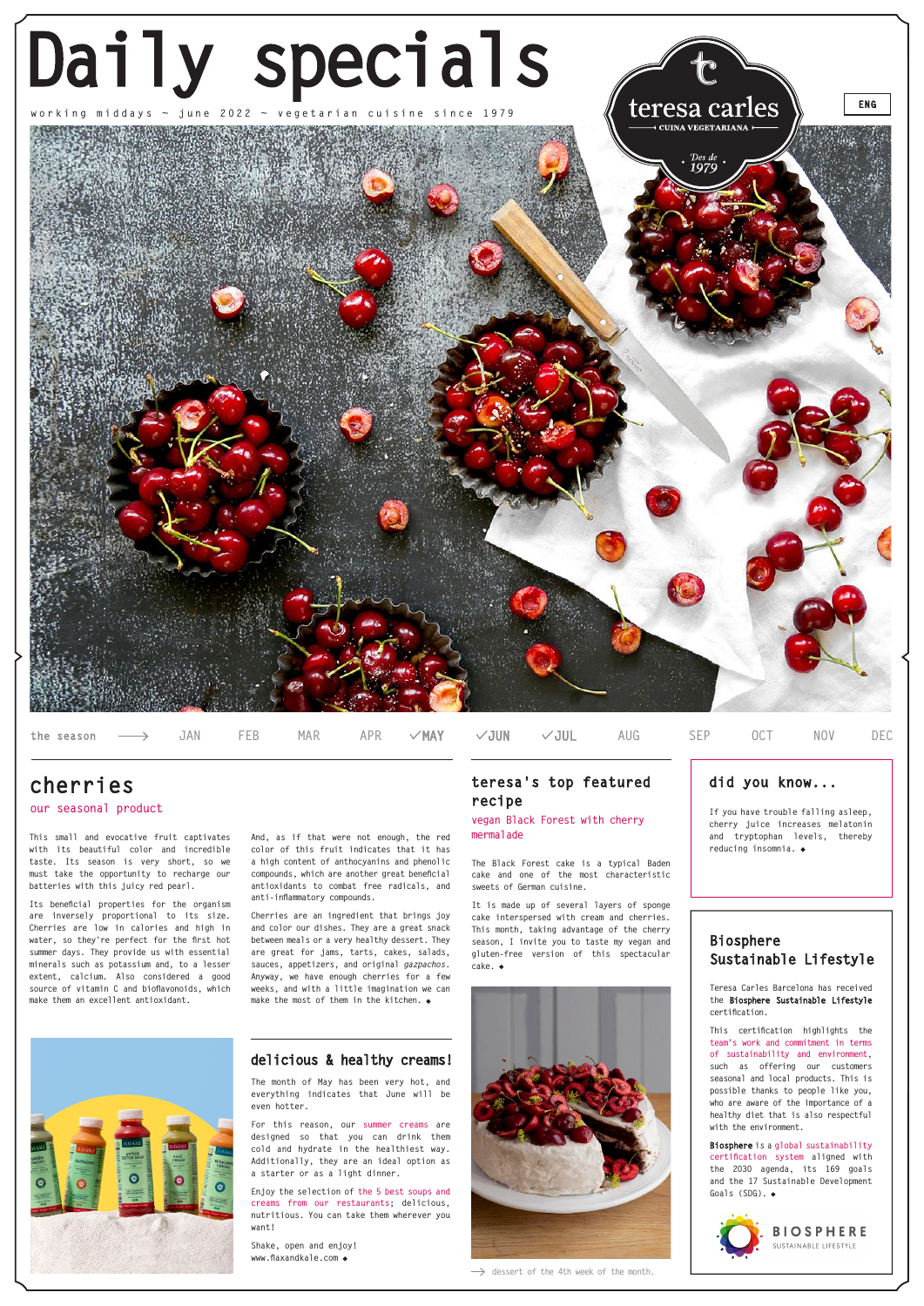## **teresa's top featured did you know... recipe**



**the season**

## **our seasonal product**

# **cherries**

**vegan Black Forest with cherry mermalade**

> **Teresa Carles Barcelona has received the Biosphere Sustainable Lifestyle certification.**

> **This certification highlights the team's work and commitment in terms of sustainability and environment, such as offering our customers seasonal and local products. This is possible thanks to people like you, who are aware of the importance of a healthy diet that is also respectful with the environment.**

> **Biosphere is a global sustainability certification system aligned with the 2030 agenda, its 169 goals and the 17 Sustainable Development Goals (SDG). .**



## **Biosphere Sustainable Lifestyle**



**This small and evocative fruit captivates with its beautiful color and incredible taste. Its season is very short, so we must take the opportunity to recharge our batteries with this juicy red pearl.**

**Its beneficial properties for the organism are inversely proportional to its size. Cherries are low in calories and high in water, so they're perfect for the first hot summer days. They provide us with essential minerals such as potassium and, to a lesser extent, calcium. Also considered a good source of vitamin C and bioflavonoids, which make them an excellent antioxidant.**

**And, as if that were not enough, the red color of this fruit indicates that it has a high content of anthocyanins and phenolic compounds, which are another great beneficial antioxidants to combat free radicals, and anti-inflammatory compounds.**

**Cherries are an ingredient that brings joy and color our dishes. They are a great snack between meals or a very healthy dessert. They are great for jams, tarts, cakes, salads, sauces, appetizers, and original** *gazpachos***. Anyway, we have enough cherries for a few weeks, and with a little imagination we can make the most of them in the kitchen. .**

**The Black Forest cake is a typical Baden cake and one of the most characteristic sweets of German cuisine.** 

**It is made up of several layers of sponge cake interspersed with cream and cherries. This month, taking advantage of the cherry season, I invite you to taste my vegan and gluten-free version of this spectacular cake.**

**If you have trouble falling asleep, cherry juice increases melatonin and tryptophan levels, thereby reducing insomnia.**

**JAN FEB MAR APR MAY JUN JUL AUG SEP OCT NOV DEC**

## **delicious & healthy creams!**

**The month of May has been very hot, and everything indicates that June will be even hotter.** 

**For this reason, our summer creams are designed so that you can drink them cold and hydrate in the healthiest way. Additionally, they are an ideal option as a starter or as a light dinner.**

**Enjoy the selection of the 5 best soups and creams from our restaurants; delicious, nutritious. You can take them wherever you want!**

**Shake, open and enjoy! www.flaxandkale.com .**



 $\rightarrow$  dessert of the 4th week of the month.